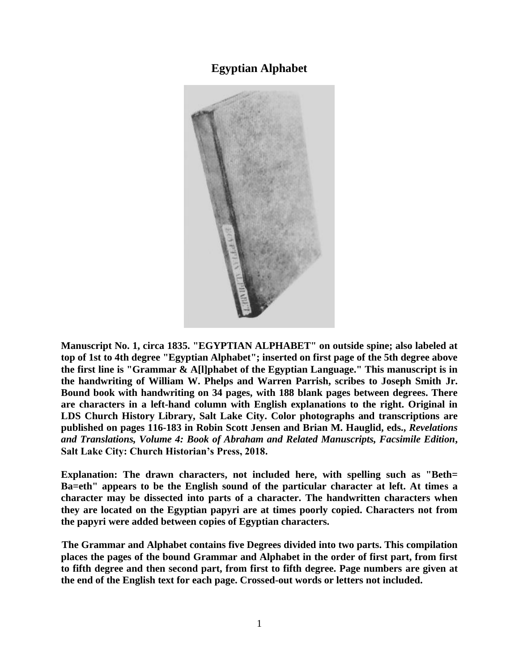# **Egyptian Alphabet**



**Manuscript No. 1, circa 1835. "EGYPTIAN ALPHABET" on outside spine; also labeled at top of 1st to 4th degree "Egyptian Alphabet"; inserted on first page of the 5th degree above the first line is "Grammar & A[l]phabet of the Egyptian Language." This manuscript is in the handwriting of William W. Phelps and Warren Parrish, scribes to Joseph Smith Jr. Bound book with handwriting on 34 pages, with 188 blank pages between degrees. There are characters in a left-hand column with English explanations to the right. Original in LDS Church History Library, Salt Lake City. Color photographs and transcriptions are published on pages 116-183 in Robin Scott Jensen and Brian M. Hauglid, eds.,** *Revelations and Translations, Volume 4: Book of Abraham and Related Manuscripts, Facsimile Edition***, Salt Lake City: Church Historian's Press, 2018.**

**Explanation: The drawn characters, not included here, with spelling such as "Beth= Ba=eth" appears to be the English sound of the particular character at left. At times a character may be dissected into parts of a character. The handwritten characters when they are located on the Egyptian papyri are at times poorly copied. Characters not from the papyri were added between copies of Egyptian characters.**

**The Grammar and Alphabet contains five Degrees divided into two parts. This compilation places the pages of the bound Grammar and Alphabet in the order of first part, from first to fifth degree and then second part, from first to fifth degree. Page numbers are given at the end of the English text for each page. Crossed-out words or letters not included.**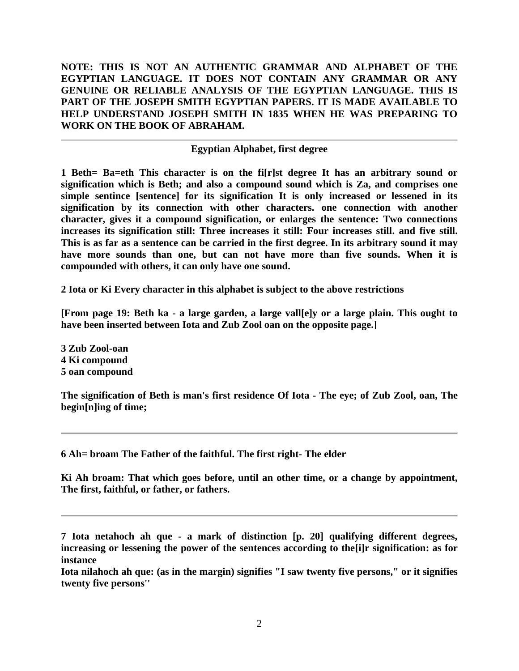**NOTE: THIS IS NOT AN AUTHENTIC GRAMMAR AND ALPHABET OF THE EGYPTIAN LANGUAGE. IT DOES NOT CONTAIN ANY GRAMMAR OR ANY GENUINE OR RELIABLE ANALYSIS OF THE EGYPTIAN LANGUAGE. THIS IS PART OF THE JOSEPH SMITH EGYPTIAN PAPERS. IT IS MADE AVAILABLE TO HELP UNDERSTAND JOSEPH SMITH IN 1835 WHEN HE WAS PREPARING TO WORK ON THE BOOK OF ABRAHAM.**

### **Egyptian Alphabet, first degree**

**1 Beth= Ba=eth This character is on the fi[r]st degree It has an arbitrary sound or signification which is Beth; and also a compound sound which is Za, and comprises one simple sentince [sentence] for its signification It is only increased or lessened in its signification by its connection with other characters. one connection with another character, gives it a compound signification, or enlarges the sentence: Two connections increases its signification still: Three increases it still: Four increases still. and five still. This is as far as a sentence can be carried in the first degree. In its arbitrary sound it may have more sounds than one, but can not have more than five sounds. When it is compounded with others, it can only have one sound.**

**2 Iota or Ki Every character in this alphabet is subject to the above restrictions**

**[From page 19: Beth ka - a large garden, a large vall[e]y or a large plain. This ought to have been inserted between Iota and Zub Zool oan on the opposite page.]**

**3 Zub Zool-oan 4 Ki compound 5 oan compound**

**The signification of Beth is man's first residence Of Iota - The eye; of Zub Zool, oan, The begin[n]ing of time;**

**6 Ah= broam The Father of the faithful. The first right- The elder**

**Ki Ah broam: That which goes before, until an other time, or a change by appointment, The first, faithful, or father, or fathers.**

**Iota nilahoch ah que: (as in the margin) signifies "I saw twenty five persons," or it signifies twenty five persons''**

**<sup>7</sup> Iota netahoch ah que - a mark of distinction [p. 20] qualifying different degrees, increasing or lessening the power of the sentences according to the[i]r signification: as for instance**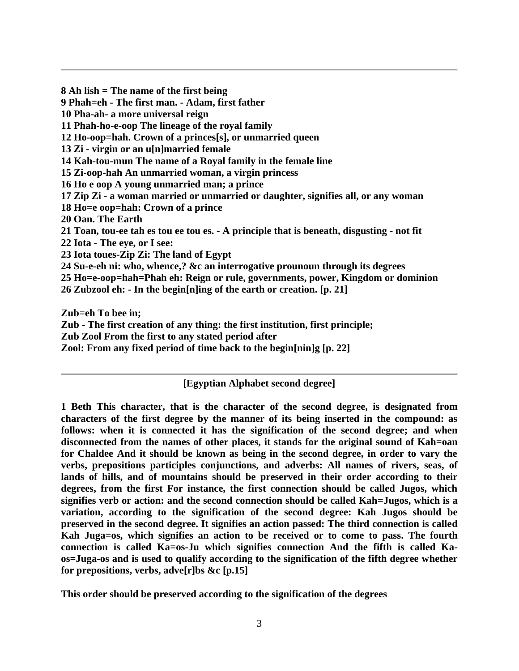**8 Ah lish = The name of the first being 9 Phah=eh - The first man. - Adam, first father 10 Pha-ah- a more universal reign 11 Phah-ho-e-oop The lineage of the royal family 12 Ho-oop=hah. Crown of a princes[s], or unmarried queen 13 Zi - virgin or an u[n]married female 14 Kah-tou-mun The name of a Royal family in the female line 15 Zi-oop-hah An unmarried woman, a virgin princess 16 Ho e oop A young unmarried man; a prince 17 Zip Zi - a woman married or unmarried or daughter, signifies all, or any woman 18 Ho=e oop=hah: Crown of a prince 20 Oan. The Earth 21 Toan, tou-ee tah es tou ee tou es. - A principle that is beneath, disgusting - not fit 22 Iota - The eye, or I see: 23 Iota toues-Zip Zi: The land of Egypt 24 Su-e-eh ni: who, whence,? &c an interrogative prounoun through its degrees 25 Ho=e-oop=hah=Phah eh: Reign or rule, governments, power, Kingdom or dominion 26 Zubzool eh: - In the begin[n]ing of the earth or creation. [p. 21]**

**Zub=eh To bee in;**

**Zub - The first creation of any thing: the first institution, first principle;**

**Zub Zool From the first to any stated period after**

**Zool: From any fixed period of time back to the begin[nin]g [p. 22]**

### **[Egyptian Alphabet second degree]**

**1 Beth This character, that is the character of the second degree, is designated from characters of the first degree by the manner of its being inserted in the compound: as follows: when it is connected it has the signification of the second degree; and when disconnected from the names of other places, it stands for the original sound of Kah=oan for Chaldee And it should be known as being in the second degree, in order to vary the verbs, prepositions participles conjunctions, and adverbs: All names of rivers, seas, of lands of hills, and of mountains should be preserved in their order according to their degrees, from the first For instance, the first connection should be called Jugos, which signifies verb or action: and the second connection should be called Kah=Jugos, which is a variation, according to the signification of the second degree: Kah Jugos should be preserved in the second degree. It signifies an action passed: The third connection is called Kah Juga=os, which signifies an action to be received or to come to pass. The fourth connection is called Ka=os-Ju which signifies connection And the fifth is called Kaos=Juga-os and is used to qualify according to the signification of the fifth degree whether for prepositions, verbs, adve[r]bs &c [p.15]**

**This order should be preserved according to the signification of the degrees**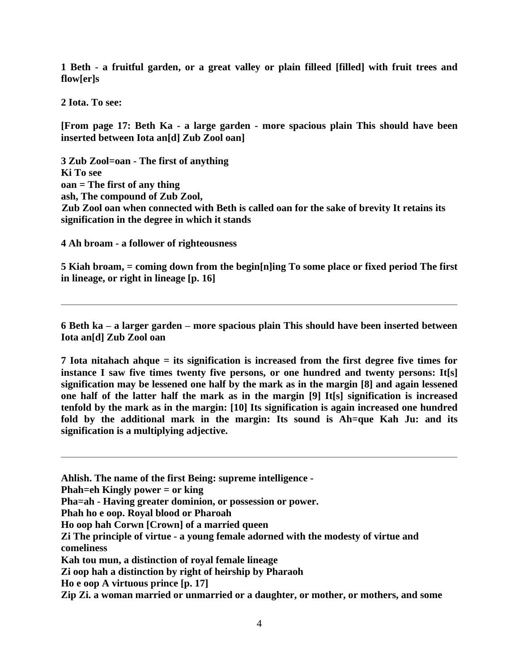**1 Beth - a fruitful garden, or a great valley or plain filleed [filled] with fruit trees and flow[er]s**

**2 Iota. To see:**

**[From page 17: Beth Ka - a large garden - more spacious plain This should have been inserted between Iota an[d] Zub Zool oan]**

**3 Zub Zool=oan - The first of anything Ki To see oan = The first of any thing ash, The compound of Zub Zool, Zub Zool oan when connected with Beth is called oan for the sake of brevity It retains its signification in the degree in which it stands**

**4 Ah broam - a follower of righteousness**

**5 Kiah broam, = coming down from the begin[n]ing To some place or fixed period The first in lineage, or right in lineage [p. 16]**

**6 Beth ka – a larger garden – more spacious plain This should have been inserted between Iota an[d] Zub Zool oan**

**7 Iota nitahach ahque = its signification is increased from the first degree five times for instance I saw five times twenty five persons, or one hundred and twenty persons: It[s] signification may be lessened one half by the mark as in the margin [8] and again lessened one half of the latter half the mark as in the margin [9] It[s] signification is increased tenfold by the mark as in the margin: [10] Its signification is again increased one hundred fold by the additional mark in the margin: Its sound is Ah=que Kah Ju: and its signification is a multiplying adjective.**

**Ahlish. The name of the first Being: supreme intelligence -**

**Phah=eh Kingly power = or king**

**Pha=ah - Having greater dominion, or possession or power.**

**Phah ho e oop. Royal blood or Pharoah**

**Ho oop hah Corwn [Crown] of a married queen**

**Kah tou mun, a distinction of royal female lineage**

**Zi oop hah a distinction by right of heirship by Pharaoh**

**Ho e oop A virtuous prince [p. 17]**

**Zip Zi. a woman married or unmarried or a daughter, or mother, or mothers, and some**

**Zi The principle of virtue - a young female adorned with the modesty of virtue and comeliness**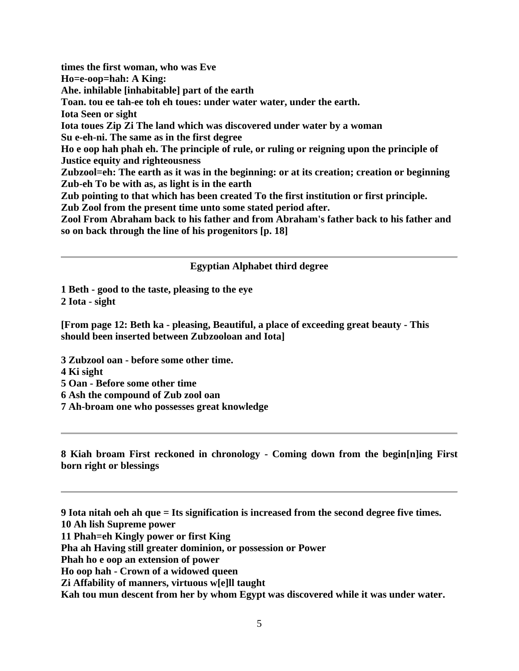**times the first woman, who was Eve Ho=e-oop=hah: A King: Ahe. inhilable [inhabitable] part of the earth Toan. tou ee tah-ee toh eh toues: under water water, under the earth. Iota Seen or sight Iota toues Zip Zi The land which was discovered under water by a woman Su e-eh-ni. The same as in the first degree Ho e oop hah phah eh. The principle of rule, or ruling or reigning upon the principle of Justice equity and righteousness Zubzool=eh: The earth as it was in the beginning: or at its creation; creation or beginning Zub-eh To be with as, as light is in the earth Zub pointing to that which has been created To the first institution or first principle. Zub Zool from the present time unto some stated period after. Zool From Abraham back to his father and from Abraham's father back to his father and so on back through the line of his progenitors [p. 18]**

#### **Egyptian Alphabet third degree**

**1 Beth - good to the taste, pleasing to the eye 2 Iota - sight**

**[From page 12: Beth ka - pleasing, Beautiful, a place of exceeding great beauty - This should been inserted between Zubzooloan and Iota]**

**3 Zubzool oan - before some other time.**

- **4 Ki sight**
- **5 Oan - Before some other time**
- **6 Ash the compound of Zub zool oan**
- **7 Ah-broam one who possesses great knowledge**

**8 Kiah broam First reckoned in chronology - Coming down from the begin[n]ing First born right or blessings**

**9 Iota nitah oeh ah que = Its signification is increased from the second degree five times.**

**10 Ah lish Supreme power**

**11 Phah=eh Kingly power or first King**

**Pha ah Having still greater dominion, or possession or Power**

**Phah ho e oop an extension of power**

**Ho oop hah - Crown of a widowed queen**

**Zi Affability of manners, virtuous w[e]ll taught**

**Kah tou mun descent from her by whom Egypt was discovered while it was under water.**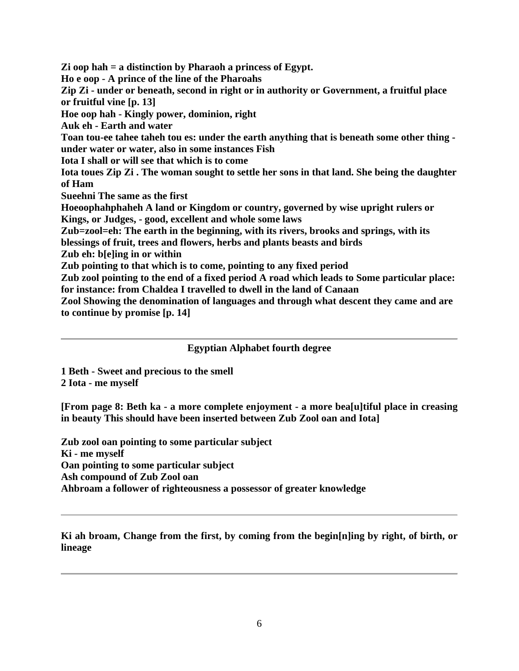**Zi oop hah = a distinction by Pharaoh a princess of Egypt. Ho e oop - A prince of the line of the Pharoahs Zip Zi - under or beneath, second in right or in authority or Government, a fruitful place or fruitful vine [p. 13] Hoe oop hah - Kingly power, dominion, right Auk eh - Earth and water Toan tou-ee tahee taheh tou es: under the earth anything that is beneath some other thing under water or water, also in some instances Fish Iota I shall or will see that which is to come Iota toues Zip Zi . The woman sought to settle her sons in that land. She being the daughter of Ham Sueehni The same as the first Hoeoophahphaheh A land or Kingdom or country, governed by wise upright rulers or Kings, or Judges, - good, excellent and whole some laws Zub=zool=eh: The earth in the beginning, with its rivers, brooks and springs, with its blessings of fruit, trees and flowers, herbs and plants beasts and birds Zub eh: b[e]ing in or within Zub pointing to that which is to come, pointing to any fixed period Zub zool pointing to the end of a fixed period A road which leads to Some particular place: for instance: from Chaldea I travelled to dwell in the land of Canaan Zool Showing the denomination of languages and through what descent they came and are to continue by promise [p. 14]**

**Egyptian Alphabet fourth degree**

**1 Beth - Sweet and precious to the smell 2 Iota - me myself**

**[From page 8: Beth ka - a more complete enjoyment - a more bea[u]tiful place in creasing in beauty This should have been inserted between Zub Zool oan and Iota]**

**Zub zool oan pointing to some particular subject Ki - me myself Oan pointing to some particular subject Ash compound of Zub Zool oan Ahbroam a follower of righteousness a possessor of greater knowledge**

**Ki ah broam, Change from the first, by coming from the begin[n]ing by right, of birth, or lineage**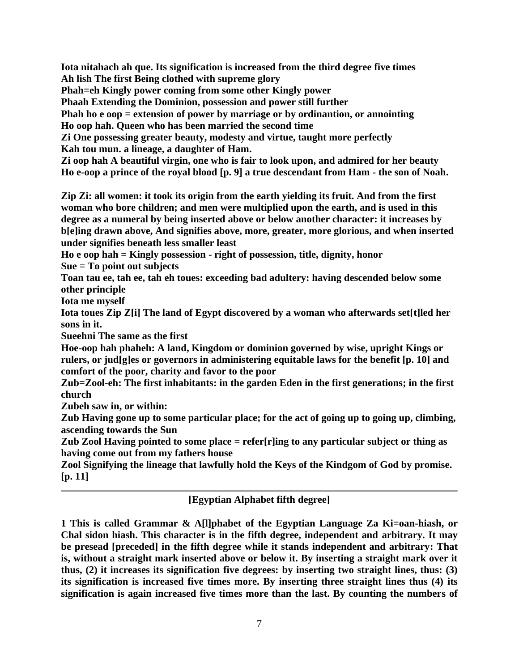**Iota nitahach ah que. Its signification is increased from the third degree five times Ah lish The first Being clothed with supreme glory**

**Phah=eh Kingly power coming from some other Kingly power**

**Phaah Extending the Dominion, possession and power still further**

**Phah ho e oop = extension of power by marriage or by ordinantion, or annointing Ho oop hah. Queen who has been married the second time**

**Zi One possessing greater beauty, modesty and virtue, taught more perfectly Kah tou mun. a lineage, a daughter of Ham.**

**Zi oop hah A beautiful virgin, one who is fair to look upon, and admired for her beauty Ho e-oop a prince of the royal blood [p. 9] a true descendant from Ham - the son of Noah.**

**Zip Zi: all women: it took its origin from the earth yielding its fruit. And from the first woman who bore children; and men were multiplied upon the earth, and is used in this degree as a numeral by being inserted above or below another character: it increases by b[e]ing drawn above, And signifies above, more, greater, more glorious, and when inserted under signifies beneath less smaller least**

**Ho e oop hah = Kingly possession - right of possession, title, dignity, honor**

**Sue = To point out subjects**

**Toan tau ee, tah ee, tah eh toues: exceeding bad adultery: having descended below some other principle**

**Iota me myself**

**Iota toues Zip Z[i] The land of Egypt discovered by a woman who afterwards set[t]led her sons in it.**

**Sueehni The same as the first**

**Hoe-oop hah phaheh: A land, Kingdom or dominion governed by wise, upright Kings or rulers, or jud[g]es or governors in administering equitable laws for the benefit [p. 10] and comfort of the poor, charity and favor to the poor**

**Zub=Zool-eh: The first inhabitants: in the garden Eden in the first generations; in the first church**

**Zubeh saw in, or within:**

**Zub Having gone up to some particular place; for the act of going up to going up, climbing, ascending towards the Sun**

**Zub Zool Having pointed to some place = refer[r]ing to any particular subject or thing as having come out from my fathers house**

**Zool Signifying the lineage that lawfully hold the Keys of the Kindgom of God by promise. [p. 11]**

# **[Egyptian Alphabet fifth degree]**

**1 This is called Grammar & A[l]phabet of the Egyptian Language Za Ki=oan-hiash, or Chal sidon hiash. This character is in the fifth degree, independent and arbitrary. It may be presead [preceded] in the fifth degree while it stands independent and arbitrary: That is, without a straight mark inserted above or below it. By inserting a straight mark over it thus, (2) it increases its signification five degrees: by inserting two straight lines, thus: (3) its signification is increased five times more. By inserting three straight lines thus (4) its signification is again increased five times more than the last. By counting the numbers of**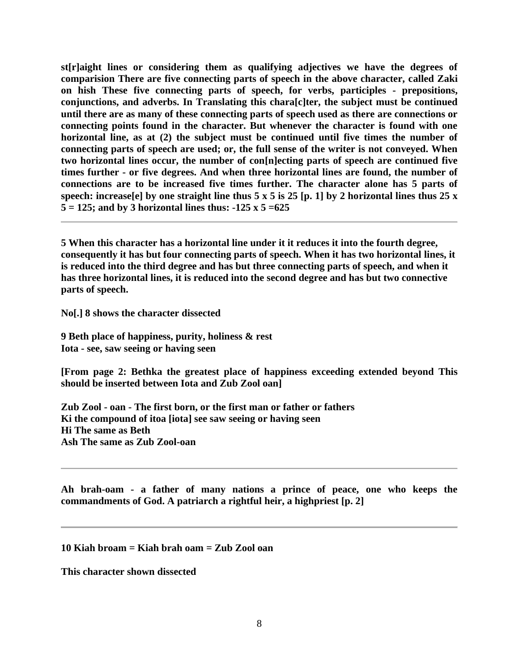**st[r]aight lines or considering them as qualifying adjectives we have the degrees of comparision There are five connecting parts of speech in the above character, called Zaki on hish These five connecting parts of speech, for verbs, participles - prepositions, conjunctions, and adverbs. In Translating this chara[c]ter, the subject must be continued until there are as many of these connecting parts of speech used as there are connections or connecting points found in the character. But whenever the character is found with one horizontal line, as at (2) the subject must be continued until five times the number of connecting parts of speech are used; or, the full sense of the writer is not conveyed. When two horizontal lines occur, the number of con[n]ecting parts of speech are continued five times further - or five degrees. And when three horizontal lines are found, the number of connections are to be increased five times further. The character alone has 5 parts of speech: increase[e] by one straight line thus 5 x 5 is 25 [p. 1] by 2 horizontal lines thus 25 x 5 = 125; and by 3 horizontal lines thus: -125 x 5 =625**

**5 When this character has a horizontal line under it it reduces it into the fourth degree, consequently it has but four connecting parts of speech. When it has two horizontal lines, it is reduced into the third degree and has but three connecting parts of speech, and when it has three horizontal lines, it is reduced into the second degree and has but two connective parts of speech.**

**No[.] 8 shows the character dissected**

**9 Beth place of happiness, purity, holiness & rest Iota - see, saw seeing or having seen**

**[From page 2: Bethka the greatest place of happiness exceeding extended beyond This should be inserted between Iota and Zub Zool oan]**

**Zub Zool - oan - The first born, or the first man or father or fathers Ki the compound of itoa [iota] see saw seeing or having seen Hi The same as Beth Ash The same as Zub Zool-oan**

**Ah brah-oam - a father of many nations a prince of peace, one who keeps the commandments of God. A patriarch a rightful heir, a highpriest [p. 2]**

**10 Kiah broam = Kiah brah oam = Zub Zool oan**

**This character shown dissected**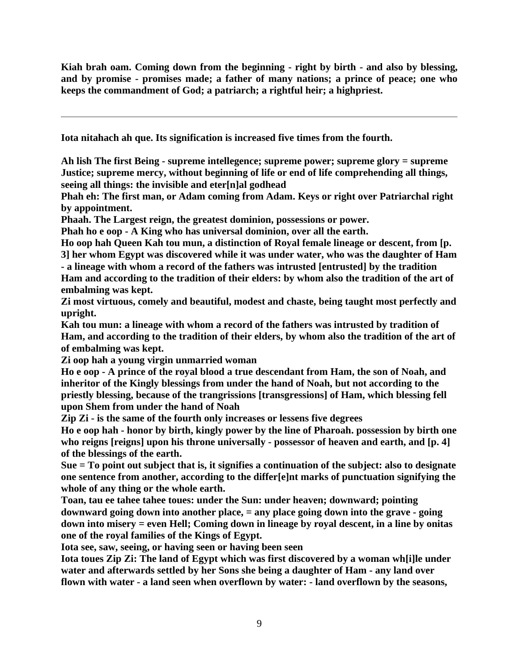**Kiah brah oam. Coming down from the beginning - right by birth - and also by blessing, and by promise - promises made; a father of many nations; a prince of peace; one who keeps the commandment of God; a patriarch; a rightful heir; a highpriest.**

**Iota nitahach ah que. Its signification is increased five times from the fourth.**

**Ah lish The first Being - supreme intellegence; supreme power; supreme glory = supreme Justice; supreme mercy, without beginning of life or end of life comprehending all things, seeing all things: the invisible and eter[n]al godhead**

**Phah eh: The first man, or Adam coming from Adam. Keys or right over Patriarchal right by appointment.**

**Phaah. The Largest reign, the greatest dominion, possessions or power.**

**Phah ho e oop - A King who has universal dominion, over all the earth.**

**Ho oop hah Queen Kah tou mun, a distinction of Royal female lineage or descent, from [p. 3] her whom Egypt was discovered while it was under water, who was the daughter of Ham - a lineage with whom a record of the fathers was intrusted [entrusted] by the tradition Ham and according to the tradition of their elders: by whom also the tradition of the art of embalming was kept.**

**Zi most virtuous, comely and beautiful, modest and chaste, being taught most perfectly and upright.**

**Kah tou mun: a lineage with whom a record of the fathers was intrusted by tradition of Ham, and according to the tradition of their elders, by whom also the tradition of the art of of embalming was kept.**

**Zi oop hah a young virgin unmarried woman**

**Ho e oop - A prince of the royal blood a true descendant from Ham, the son of Noah, and inheritor of the Kingly blessings from under the hand of Noah, but not according to the priestly blessing, because of the trangrissions [transgressions] of Ham, which blessing fell upon Shem from under the hand of Noah**

**Zip Zi - is the same of the fourth only increases or lessens five degrees**

**Ho e oop hah - honor by birth, kingly power by the line of Pharoah. possession by birth one who reigns [reigns] upon his throne universally - possessor of heaven and earth, and [p. 4] of the blessings of the earth.**

**Sue = To point out subject that is, it signifies a continuation of the subject: also to designate one sentence from another, according to the differ[e]nt marks of punctuation signifying the whole of any thing or the whole earth.**

**Toan, tau ee tahee tahee toues: under the Sun: under heaven; downward; pointing downward going down into another place, = any place going down into the grave - going down into misery = even Hell; Coming down in lineage by royal descent, in a line by onitas one of the royal families of the Kings of Egypt.**

**Iota see, saw, seeing, or having seen or having been seen**

**Iota toues Zip Zi: The land of Egypt which was first discovered by a woman wh[i]le under water and afterwards settled by her Sons she being a daughter of Ham - any land over flown with water - a land seen when overflown by water: - land overflown by the seasons,**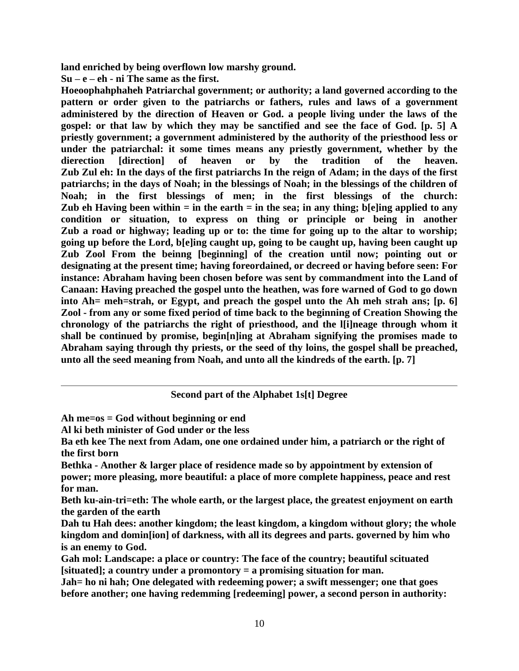**land enriched by being overflown low marshy ground.**

**Su – e – eh - ni The same as the first.**

**Hoeoophahphaheh Patriarchal government; or authority; a land governed according to the pattern or order given to the patriarchs or fathers, rules and laws of a government administered by the direction of Heaven or God. a people living under the laws of the gospel: or that law by which they may be sanctified and see the face of God. [p. 5] A priestly government; a government administered by the authority of the priesthood less or under the patriarchal: it some times means any priestly government, whether by the dierection [direction] of heaven or by the tradition of the heaven. Zub Zul eh: In the days of the first patriarchs In the reign of Adam; in the days of the first patriarchs; in the days of Noah; in the blessings of Noah; in the blessings of the children of Noah; in the first blessings of men; in the first blessings of the church: Zub eh Having been within = in the earth = in the sea; in any thing; b[e]ing applied to any condition or situation, to express on thing or principle or being in another Zub a road or highway; leading up or to: the time for going up to the altar to worship; going up before the Lord, b[e]ing caught up, going to be caught up, having been caught up Zub Zool From the beinng [beginning] of the creation until now; pointing out or designating at the present time; having foreordained, or decreed or having before seen: For instance: Abraham having been chosen before was sent by commandment into the Land of Canaan: Having preached the gospel unto the heathen, was fore warned of God to go down into Ah= meh=strah, or Egypt, and preach the gospel unto the Ah meh strah ans; [p. 6] Zool - from any or some fixed period of time back to the beginning of Creation Showing the chronology of the patriarchs the right of priesthood, and the l[i]neage through whom it shall be continued by promise, begin[n]ing at Abraham signifying the promises made to Abraham saying through thy priests, or the seed of thy loins, the gospel shall be preached, unto all the seed meaning from Noah, and unto all the kindreds of the earth. [p. 7]**

### **Second part of the Alphabet 1s[t] Degree**

**Ah me=os = God without beginning or end**

**Al ki beth minister of God under or the less**

**Ba eth kee The next from Adam, one one ordained under him, a patriarch or the right of the first born**

**Bethka - Another & larger place of residence made so by appointment by extension of power; more pleasing, more beautiful: a place of more complete happiness, peace and rest for man.**

**Beth ku-ain-tri=eth: The whole earth, or the largest place, the greatest enjoyment on earth the garden of the earth**

**Dah tu Hah dees: another kingdom; the least kingdom, a kingdom without glory; the whole kingdom and domin[ion] of darkness, with all its degrees and parts. governed by him who is an enemy to God.**

**Gah mol: Landscape: a place or country: The face of the country; beautiful scituated [situated]; a country under a promontory = a promising situation for man.**

**Jah= ho ni hah; One delegated with redeeming power; a swift messenger; one that goes before another; one having redemming [redeeming] power, a second person in authority:**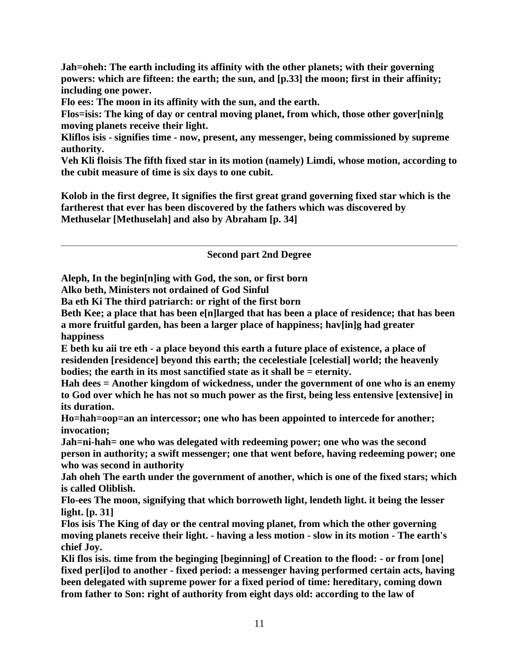**Jah=oheh: The earth including its affinity with the other planets; with their governing powers: which are fifteen: the earth; the sun, and [p.33] the moon; first in their affinity; including one power.**

**Flo ees: The moon in its affinity with the sun, and the earth.**

**Flos=isis: The king of day or central moving planet, from which, those other gover[nin]g moving planets receive their light.**

**Kliflos isis - signifies time - now, present, any messenger, being commissioned by supreme authority.**

**Veh Kli floisis The fifth fixed star in its motion (namely) Limdi, whose motion, according to the cubit measure of time is six days to one cubit.**

**Kolob in the first degree, It signifies the first great grand governing fixed star which is the fartherest that ever has been discovered by the fathers which was discovered by Methuselar [Methuselah] and also by Abraham [p. 34]**

**Second part 2nd Degree**

**Aleph, In the begin[n]ing with God, the son, or first born**

**Alko beth, Ministers not ordained of God Sinful**

**Ba eth Ki The third patriarch: or right of the first born**

**Beth Kee; a place that has been e[n]larged that has been a place of residence; that has been a more fruitful garden, has been a larger place of happiness; hav[in]g had greater happiness**

**E beth ku aii tre eth - a place beyond this earth a future place of existence, a place of residenden [residence] beyond this earth; the cecelestiale [celestial] world; the heavenly bodies; the earth in its most sanctified state as it shall be = eternity.**

**Hah dees = Another kingdom of wickedness, under the government of one who is an enemy to God over which he has not so much power as the first, being less entensive [extensive] in its duration.**

**Ho=hah=oop=an an intercessor; one who has been appointed to intercede for another; invocation;**

**Jah=ni-hah= one who was delegated with redeeming power; one who was the second person in authority; a swift messenger; one that went before, having redeeming power; one who was second in authority**

**Jah oheh The earth under the government of another, which is one of the fixed stars; which is called Oliblish.**

**Flo-ees The moon, signifying that which borroweth light, lendeth light. it being the lesser light. [p. 31]**

**Flos isis The King of day or the central moving planet, from which the other governing moving planets receive their light. - having a less motion - slow in its motion - The earth's chief Joy.**

**Kli flos isis. time from the beginging [beginning] of Creation to the flood: - or from [one] fixed per[i]od to another - fixed period: a messenger having performed certain acts, having been delegated with supreme power for a fixed period of time: hereditary, coming down from father to Son: right of authority from eight days old: according to the law of**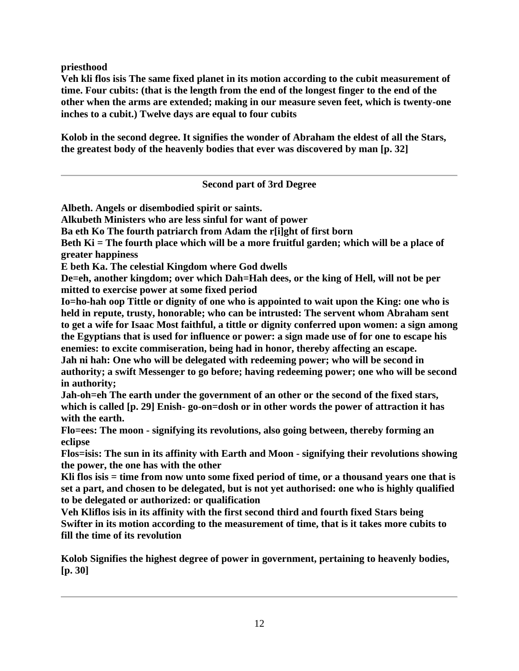**priesthood**

**Veh kli flos isis The same fixed planet in its motion according to the cubit measurement of time. Four cubits: (that is the length from the end of the longest finger to the end of the other when the arms are extended; making in our measure seven feet, which is twenty-one inches to a cubit.) Twelve days are equal to four cubits**

**Kolob in the second degree. It signifies the wonder of Abraham the eldest of all the Stars, the greatest body of the heavenly bodies that ever was discovered by man [p. 32]**

## **Second part of 3rd Degree**

**Albeth. Angels or disembodied spirit or saints.**

**Alkubeth Ministers who are less sinful for want of power**

**Ba eth Ko The fourth patriarch from Adam the r[i]ght of first born**

**Beth Ki = The fourth place which will be a more fruitful garden; which will be a place of greater happiness**

**E beth Ka. The celestial Kingdom where God dwells**

**De=eh, another kingdom; over which Dah=Hah dees, or the king of Hell, will not be per mitted to exercise power at some fixed period**

**Io=ho-hah oop Tittle or dignity of one who is appointed to wait upon the King: one who is held in repute, trusty, honorable; who can be intrusted: The servent whom Abraham sent to get a wife for Isaac Most faithful, a tittle or dignity conferred upon women: a sign among the Egyptians that is used for influence or power: a sign made use of for one to escape his enemies: to excite commiseration, being had in honor, thereby affecting an escape. Jah ni hah: One who will be delegated with redeeming power; who will be second in authority; a swift Messenger to go before; having redeeming power; one who will be second in authority;**

**Jah-oh=eh The earth under the government of an other or the second of the fixed stars, which is called [p. 29] Enish- go-on=dosh or in other words the power of attraction it has with the earth.**

**Flo=ees: The moon - signifying its revolutions, also going between, thereby forming an eclipse**

**Flos=isis: The sun in its affinity with Earth and Moon - signifying their revolutions showing the power, the one has with the other**

**Kli flos isis = time from now unto some fixed period of time, or a thousand years one that is set a part, and chosen to be delegated, but is not yet authorised: one who is highly qualified to be delegated or authorized: or qualification**

**Veh Kliflos isis in its affinity with the first second third and fourth fixed Stars being Swifter in its motion according to the measurement of time, that is it takes more cubits to fill the time of its revolution**

**Kolob Signifies the highest degree of power in government, pertaining to heavenly bodies, [p. 30]**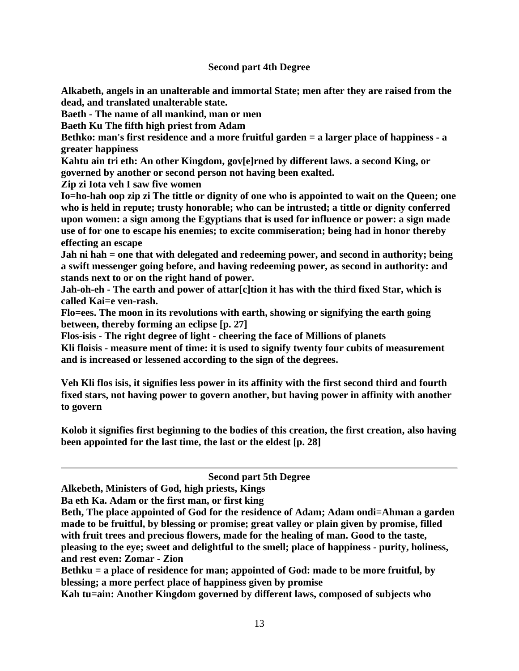## **Second part 4th Degree**

**Alkabeth, angels in an unalterable and immortal State; men after they are raised from the dead, and translated unalterable state.**

**Baeth - The name of all mankind, man or men**

**Baeth Ku The fifth high priest from Adam**

**Bethko: man's first residence and a more fruitful garden = a larger place of happiness - a greater happiness**

**Kahtu ain tri eth: An other Kingdom, gov[e]rned by different laws. a second King, or governed by another or second person not having been exalted.**

**Zip zi Iota veh I saw five women**

**Io=ho-hah oop zip zi The tittle or dignity of one who is appointed to wait on the Queen; one who is held in repute; trusty honorable; who can be intrusted; a tittle or dignity conferred upon women: a sign among the Egyptians that is used for influence or power: a sign made use of for one to escape his enemies; to excite commiseration; being had in honor thereby effecting an escape**

**Jah ni hah = one that with delegated and redeeming power, and second in authority; being a swift messenger going before, and having redeeming power, as second in authority: and stands next to or on the right hand of power.**

**Jah-oh-eh - The earth and power of attar[c]tion it has with the third fixed Star, which is called Kai=e ven-rash.**

**Flo=ees. The moon in its revolutions with earth, showing or signifying the earth going between, thereby forming an eclipse [p. 27]**

**Flos-isis - The right degree of light - cheering the face of Millions of planets**

**Kli floisis - measure ment of time: it is used to signify twenty four cubits of measurement and is increased or lessened according to the sign of the degrees.**

**Veh Kli flos isis, it signifies less power in its affinity with the first second third and fourth fixed stars, not having power to govern another, but having power in affinity with another to govern**

**Kolob it signifies first beginning to the bodies of this creation, the first creation, also having been appointed for the last time, the last or the eldest [p. 28]**

### **Second part 5th Degree**

**Alkebeth, Ministers of God, high priests, Kings**

**Ba eth Ka. Adam or the first man, or first king**

**Beth, The place appointed of God for the residence of Adam; Adam ondi=Ahman a garden made to be fruitful, by blessing or promise; great valley or plain given by promise, filled with fruit trees and precious flowers, made for the healing of man. Good to the taste, pleasing to the eye; sweet and delightful to the smell; place of happiness - purity, holiness, and rest even: Zomar - Zion**

**Bethku = a place of residence for man; appointed of God: made to be more fruitful, by blessing; a more perfect place of happiness given by promise**

**Kah tu=ain: Another Kingdom governed by different laws, composed of subjects who**